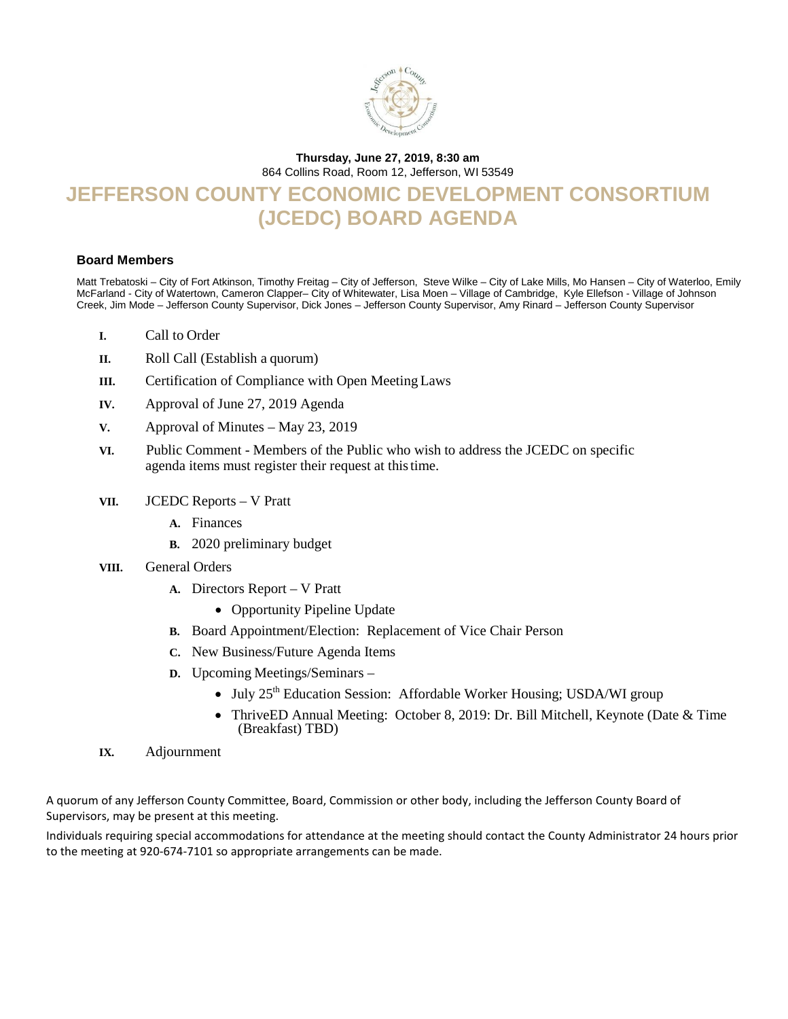

### **Thursday, June 27, 2019, 8:30 am**

864 Collins Road, Room 12, Jefferson, WI 53549

# **JEFFERSON COUNTY ECONOMIC DEVELOPMENT CONSORTIUM (JCEDC) BOARD AGENDA**

#### **Board Members**

Matt Trebatoski – City of Fort Atkinson, Timothy Freitag – City of Jefferson, Steve Wilke – City of Lake Mills, Mo Hansen – City of Waterloo, Emily McFarland - City of Watertown, Cameron Clapper– City of Whitewater, Lisa Moen – Village of Cambridge, Kyle Ellefson - Village of Johnson Creek, Jim Mode – Jefferson County Supervisor, Dick Jones – Jefferson County Supervisor, Amy Rinard – Jefferson County Supervisor

- **I.** Call to Order
- **II.** Roll Call (Establish a quorum)
- **III.** Certification of Compliance with Open Meeting Laws
- **IV.** Approval of June 27, 2019 Agenda
- **V.** Approval of Minutes May 23, 2019
- **VI.**Public Comment Members of the Public who wish to address the JCEDC on specific agenda items must register their request at thistime.
- **VII.** JCEDC Reports V Pratt
	- **A.** Finances
	- **B.** 2020 preliminary budget
- **VIII.** General Orders
	- **A.** Directors Report V Pratt
		- Opportunity Pipeline Update
	- **B.** Board Appointment/Election: Replacement of Vice Chair Person
	- **C.** New Business/Future Agenda Items
	- **D.** Upcoming Meetings/Seminars
		- July  $25<sup>th</sup>$  Education Session: Affordable Worker Housing; USDA/WI group
		- ThriveED Annual Meeting: October 8, 2019: Dr. Bill Mitchell, Keynote (Date & Time (Breakfast) TBD)
- **IX.** Adjournment

A quorum of any Jefferson County Committee, Board, Commission or other body, including the Jefferson County Board of Supervisors, may be present at this meeting.

Individuals requiring special accommodations for attendance at the meeting should contact the County Administrator 24 hours prior to the meeting at 920-674-7101 so appropriate arrangements can be made.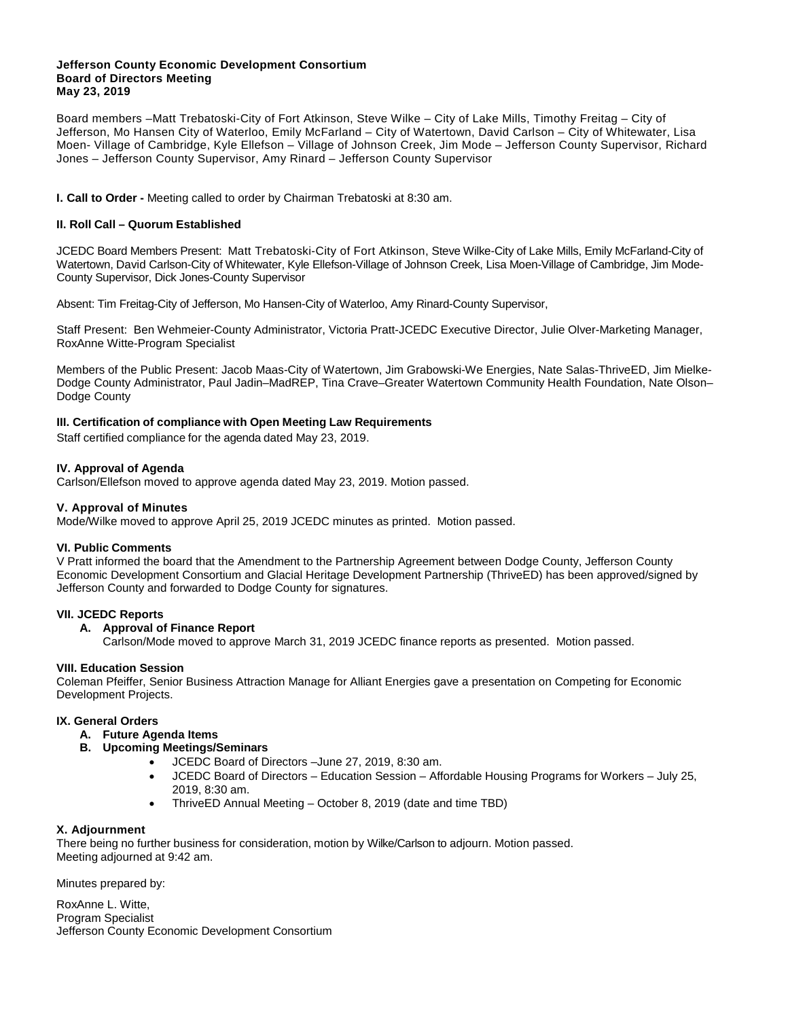#### **Jefferson County Economic Development Consortium Board of Directors Meeting May 23, 2019**

Board members –Matt Trebatoski-City of Fort Atkinson, Steve Wilke – City of Lake Mills, Timothy Freitag – City of Jefferson, Mo Hansen City of Waterloo, Emily McFarland – City of Watertown, David Carlson – City of Whitewater, Lisa Moen- Village of Cambridge, Kyle Ellefson – Village of Johnson Creek, Jim Mode – Jefferson County Supervisor, Richard Jones – Jefferson County Supervisor, Amy Rinard – Jefferson County Supervisor

**I. Call to Order -** Meeting called to order by Chairman Trebatoski at 8:30 am.

#### **II. Roll Call – Quorum Established**

JCEDC Board Members Present: Matt Trebatoski-City of Fort Atkinson, Steve Wilke-City of Lake Mills, Emily McFarland-City of Watertown, David Carlson-City of Whitewater, Kyle Ellefson-Village of Johnson Creek, Lisa Moen-Village of Cambridge, Jim Mode-County Supervisor, Dick Jones-County Supervisor

Absent: Tim Freitag-City of Jefferson, Mo Hansen-City of Waterloo, Amy Rinard-County Supervisor,

Staff Present: Ben Wehmeier-County Administrator, Victoria Pratt-JCEDC Executive Director, Julie Olver-Marketing Manager, RoxAnne Witte-Program Specialist

Members of the Public Present: Jacob Maas-City of Watertown, Jim Grabowski-We Energies, Nate Salas-ThriveED, Jim Mielke-Dodge County Administrator, Paul Jadin–MadREP, Tina Crave–Greater Watertown Community Health Foundation, Nate Olson– Dodge County

#### **III. Certification of compliance with Open Meeting Law Requirements**

Staff certified compliance for the agenda dated May 23, 2019.

#### **IV. Approval of Agenda**

Carlson/Ellefson moved to approve agenda dated May 23, 2019. Motion passed.

#### **V. Approval of Minutes**

Mode/Wilke moved to approve April 25, 2019 JCEDC minutes as printed. Motion passed.

#### **VI. Public Comments**

V Pratt informed the board that the Amendment to the Partnership Agreement between Dodge County, Jefferson County Economic Development Consortium and Glacial Heritage Development Partnership (ThriveED) has been approved/signed by Jefferson County and forwarded to Dodge County for signatures.

#### **VII. JCEDC Reports**

#### **A. Approval of Finance Report**

Carlson/Mode moved to approve March 31, 2019 JCEDC finance reports as presented. Motion passed.

#### **VIII. Education Session**

Coleman Pfeiffer, Senior Business Attraction Manage for Alliant Energies gave a presentation on Competing for Economic Development Projects.

#### **IX. General Orders**

- **A. Future Agenda Items**
- **B. Upcoming Meetings/Seminars**
	- JCEDC Board of Directors –June 27, 2019, 8:30 am.
	- JCEDC Board of Directors Education Session Affordable Housing Programs for Workers July 25, 2019, 8:30 am.
	- ThriveED Annual Meeting October 8, 2019 (date and time TBD)

#### **X. Adjournment**

There being no further business for consideration, motion by Wilke/Carlson to adjourn. Motion passed. Meeting adjourned at 9:42 am.

Minutes prepared by:

RoxAnne L. Witte, Program Specialist Jefferson County Economic Development Consortium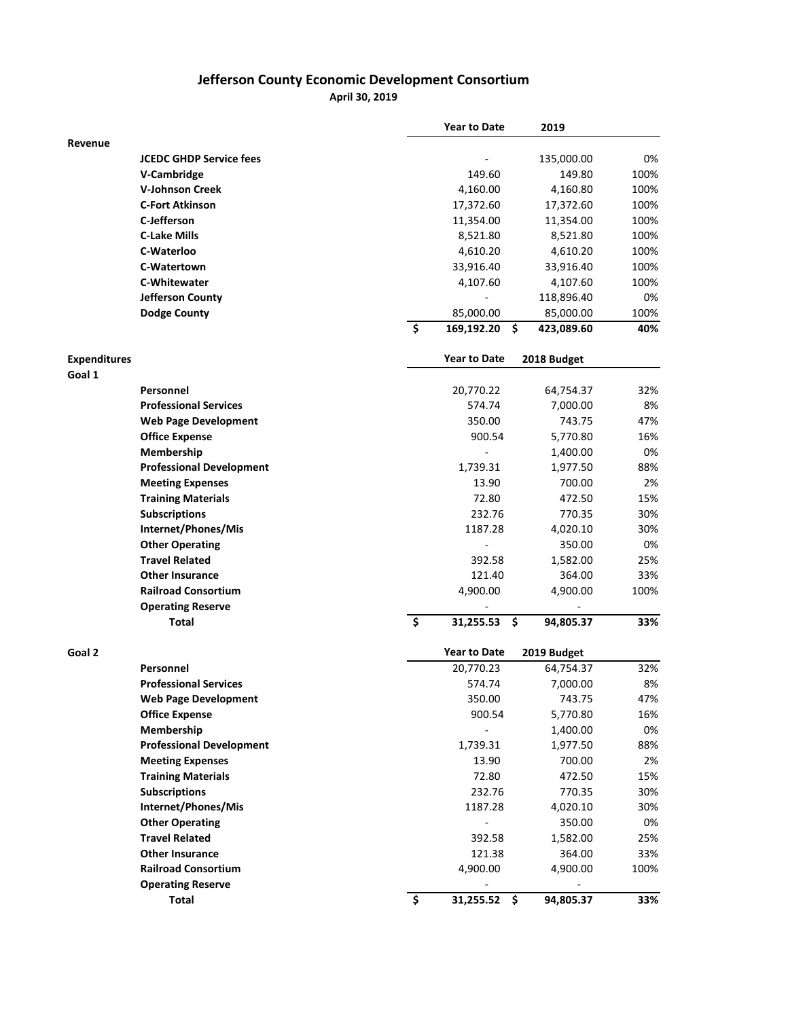## **Jefferson County Economic Development Consortium**

**April 30, 2019**

|                               |                                 |                                 | <b>Year to Date</b> | 2019             |      |
|-------------------------------|---------------------------------|---------------------------------|---------------------|------------------|------|
| Revenue                       |                                 |                                 |                     |                  |      |
|                               | <b>JCEDC GHDP Service fees</b>  |                                 |                     | 135,000.00       | 0%   |
|                               | V-Cambridge                     |                                 | 149.60              | 149.80           | 100% |
|                               | <b>V-Johnson Creek</b>          |                                 | 4,160.00            | 4,160.80         | 100% |
|                               | <b>C-Fort Atkinson</b>          |                                 | 17,372.60           | 17,372.60        | 100% |
|                               | C-Jefferson                     |                                 | 11,354.00           | 11,354.00        | 100% |
|                               | <b>C-Lake Mills</b>             |                                 | 8,521.80            | 8,521.80         | 100% |
|                               | C-Waterloo                      |                                 | 4,610.20            | 4,610.20         | 100% |
|                               | C-Watertown                     |                                 | 33,916.40           | 33,916.40        | 100% |
|                               | <b>C-Whitewater</b>             |                                 | 4,107.60            | 4,107.60         | 100% |
|                               | Jefferson County                |                                 |                     | 118,896.40       | 0%   |
|                               | <b>Dodge County</b>             |                                 | 85,000.00           | 85,000.00        | 100% |
|                               |                                 | $\overline{\boldsymbol{\zeta}}$ | 169,192.20          | \$<br>423,089.60 | 40%  |
| <b>Expenditures</b><br>Goal 1 |                                 |                                 | <b>Year to Date</b> | 2018 Budget      |      |
|                               | Personnel                       |                                 | 20,770.22           | 64,754.37        | 32%  |
|                               | <b>Professional Services</b>    |                                 | 574.74              | 7,000.00         | 8%   |
|                               | <b>Web Page Development</b>     |                                 | 350.00              | 743.75           | 47%  |
|                               | <b>Office Expense</b>           |                                 | 900.54              | 5,770.80         | 16%  |
|                               | Membership                      |                                 |                     | 1,400.00         | 0%   |
|                               | <b>Professional Development</b> |                                 | 1,739.31            | 1,977.50         | 88%  |
|                               | <b>Meeting Expenses</b>         |                                 | 13.90               | 700.00           | 2%   |
|                               | <b>Training Materials</b>       |                                 | 72.80               | 472.50           | 15%  |
|                               | <b>Subscriptions</b>            |                                 | 232.76              | 770.35           | 30%  |
|                               | Internet/Phones/Mis             |                                 | 1187.28             | 4,020.10         | 30%  |
|                               | <b>Other Operating</b>          |                                 |                     | 350.00           | 0%   |
|                               | <b>Travel Related</b>           |                                 | 392.58              | 1,582.00         | 25%  |
|                               | <b>Other Insurance</b>          |                                 | 121.40              | 364.00           | 33%  |
|                               | <b>Railroad Consortium</b>      |                                 | 4,900.00            | 4,900.00         | 100% |
|                               | <b>Operating Reserve</b>        |                                 |                     |                  |      |
|                               | Total                           | \$                              | 31,255.53           | \$<br>94,805.37  | 33%  |
|                               |                                 |                                 |                     |                  |      |
| Goal 2                        |                                 |                                 | <b>Year to Date</b> | 2019 Budget      |      |
|                               | Personnel                       |                                 | 20,770.23           | 64,754.37        | 32%  |
|                               | <b>Professional Services</b>    |                                 | 574.74              | 7,000.00         | 8%   |
|                               | <b>Web Page Development</b>     |                                 | 350.00              | 743.75           | 47%  |
|                               | <b>Office Expense</b>           |                                 | 900.54              | 5,770.80         | 16%  |
|                               | Membership                      |                                 | $\frac{1}{2}$       | 1,400.00         | 0%   |
|                               | <b>Professional Development</b> |                                 | 1,739.31            | 1,977.50         | 88%  |
|                               | <b>Meeting Expenses</b>         |                                 | 13.90               | 700.00           | 2%   |
|                               | <b>Training Materials</b>       |                                 | 72.80               | 472.50           | 15%  |
|                               | <b>Subscriptions</b>            |                                 | 232.76              | 770.35           | 30%  |
|                               | Internet/Phones/Mis             |                                 | 1187.28             | 4,020.10         | 30%  |
|                               | <b>Other Operating</b>          |                                 | ÷                   | 350.00           | 0%   |
|                               | <b>Travel Related</b>           |                                 | 392.58              | 1,582.00         | 25%  |
|                               | <b>Other Insurance</b>          |                                 | 121.38              | 364.00           | 33%  |
|                               | <b>Railroad Consortium</b>      |                                 | 4,900.00            | 4,900.00         | 100% |
|                               | <b>Operating Reserve</b>        |                                 |                     |                  |      |
|                               | <b>Total</b>                    | \$                              | 31,255.52 \$        | 94,805.37        | 33%  |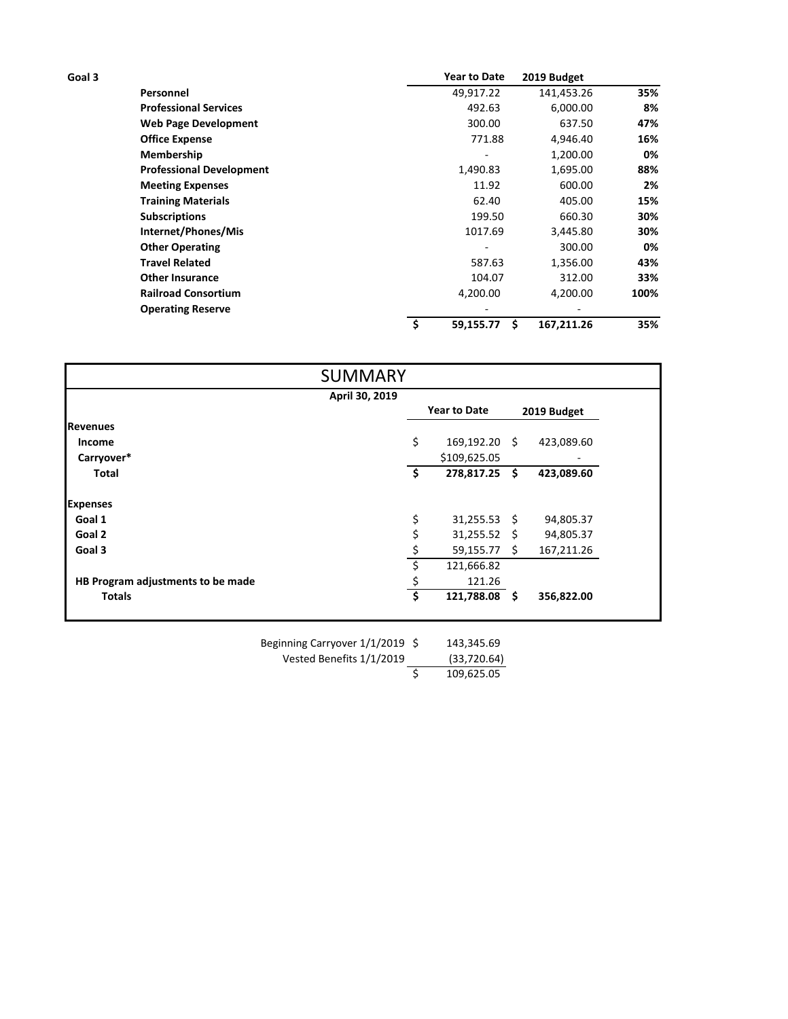| Goal 3 |                                           |    | <b>Year to Date</b>        | 2019 Budget        |                               |
|--------|-------------------------------------------|----|----------------------------|--------------------|-------------------------------|
|        | Personnel<br><b>Professional Services</b> |    | 49,917.22<br>492.63        | 141,453.26         | 35%<br>8%<br>47%<br>16%<br>0% |
|        |                                           |    |                            | 6,000.00           |                               |
|        | <b>Web Page Development</b>               |    |                            | 637.50<br>4,946.40 |                               |
|        | <b>Office Expense</b><br>Membership       |    | 771.88                     |                    |                               |
|        |                                           |    |                            | 1,200.00           |                               |
|        | <b>Professional Development</b>           |    | 1,490.83                   | 1,695.00           | 88%                           |
|        | <b>Meeting Expenses</b>                   |    | 11.92                      | 600.00             | 2%                            |
|        | <b>Training Materials</b>                 |    | 62.40<br>199.50<br>1017.69 | 405.00             | 15%<br>30%<br>30%             |
|        | <b>Subscriptions</b>                      |    |                            | 660.30             |                               |
|        | Internet/Phones/Mis                       |    |                            | 3,445.80           |                               |
|        | <b>Other Operating</b>                    |    |                            | 300.00             | 0%                            |
|        | <b>Travel Related</b>                     |    | 587.63                     | 1,356.00           | 43%                           |
|        | <b>Other Insurance</b>                    |    | 104.07                     | 312.00             | 33%                           |
|        | <b>Railroad Consortium</b>                |    | 4,200.00                   | 4,200.00           | 100%                          |
|        | <b>Operating Reserve</b>                  |    |                            |                    |                               |
|        |                                           | \$ | 59,155.77                  | Ś<br>167,211.26    | 35%                           |

|                                   | <b>SUMMARY</b> |     |                     |             |            |
|-----------------------------------|----------------|-----|---------------------|-------------|------------|
|                                   | April 30, 2019 |     |                     |             |            |
|                                   |                |     | <b>Year to Date</b> | 2019 Budget |            |
| <b>Revenues</b>                   |                |     |                     |             |            |
| Income                            |                | \$  | 169,192.20 \$       |             | 423,089.60 |
| Carryover*                        |                |     | \$109,625.05        |             |            |
| <b>Total</b>                      |                | -\$ | 278,817.25 \$       |             | 423,089.60 |
| <b>Expenses</b>                   |                |     |                     |             |            |
| Goal 1                            |                | \$  | $31,255.53$ \$      |             | 94,805.37  |
| Goal 2                            |                | \$  | $31,255.52$ \$      |             | 94,805.37  |
| Goal 3                            |                | \$  | $59,155.77$ \$      |             | 167,211.26 |
|                                   |                |     | 121,666.82          |             |            |
| HB Program adjustments to be made |                |     | 121.26              |             |            |
| <b>Totals</b>                     |                | Ś   | 121,788.08 \$       |             | 356,822.00 |

143,345.69  $(33,720.64)$ <br>  $\begin{array}{r} \xi \end{array}$  109,625.05 Vested Benefits 1/1/2019 Beginning Carryover 1/1/2019

\$ 109,625.05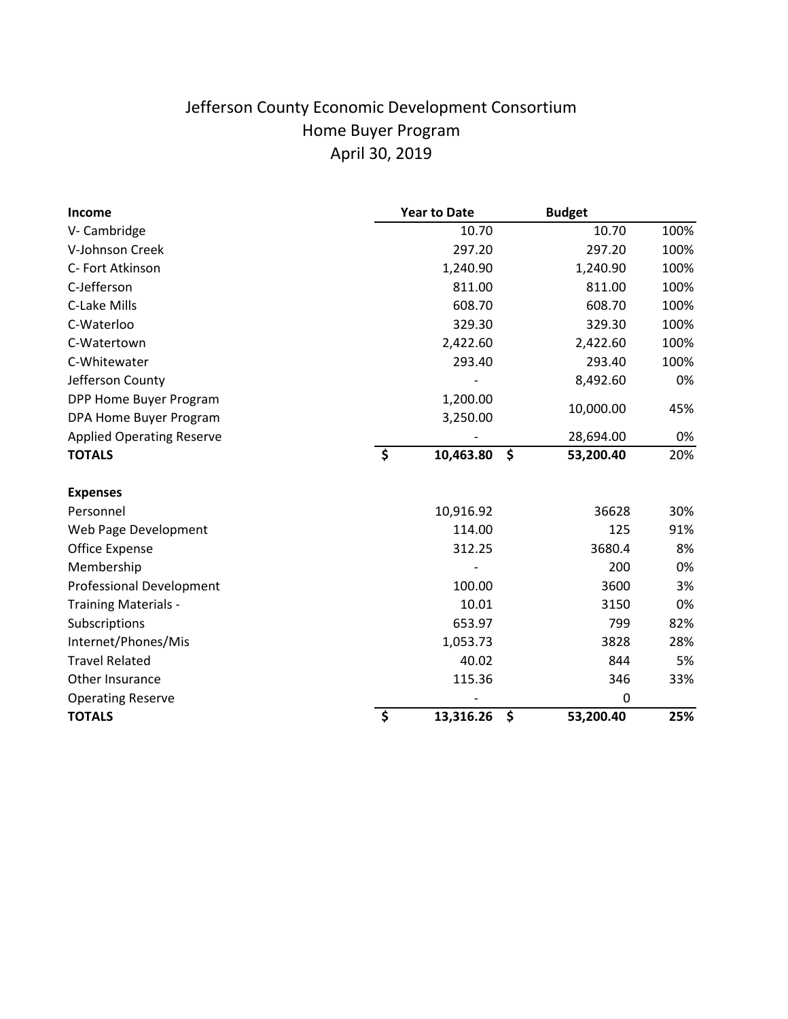# Jefferson County Economic Development Consortium Home Buyer Program April 30, 2019

| <b>Income</b>                    |         | <b>Year to Date</b> |    | <b>Budget</b> |      |
|----------------------------------|---------|---------------------|----|---------------|------|
| V-Cambridge                      |         | 10.70               |    | 10.70         | 100% |
| V-Johnson Creek                  |         | 297.20              |    | 297.20        | 100% |
| C- Fort Atkinson                 |         | 1,240.90            |    | 1,240.90      | 100% |
| C-Jefferson                      |         | 811.00              |    | 811.00        | 100% |
| C-Lake Mills                     |         | 608.70              |    | 608.70        | 100% |
| C-Waterloo                       |         | 329.30              |    | 329.30        | 100% |
| C-Watertown                      |         | 2,422.60            |    | 2,422.60      | 100% |
| C-Whitewater                     |         | 293.40              |    | 293.40        | 100% |
| Jefferson County                 |         |                     |    | 8,492.60      | 0%   |
| DPP Home Buyer Program           |         | 1,200.00            |    |               |      |
| DPA Home Buyer Program           |         | 3,250.00            |    | 10,000.00     | 45%  |
| <b>Applied Operating Reserve</b> |         |                     |    | 28,694.00     | 0%   |
| <b>TOTALS</b>                    | $\zeta$ | 10,463.80           | \$ | 53,200.40     | 20%  |
| <b>Expenses</b>                  |         |                     |    |               |      |
| Personnel                        |         | 10,916.92           |    | 36628         | 30%  |
| Web Page Development             |         | 114.00              |    | 125           | 91%  |
| Office Expense                   |         | 312.25              |    | 3680.4        | 8%   |
| Membership                       |         |                     |    | 200           | 0%   |
| <b>Professional Development</b>  |         | 100.00              |    | 3600          | 3%   |
| <b>Training Materials -</b>      |         | 10.01               |    | 3150          | 0%   |
| Subscriptions                    |         | 653.97              |    | 799           | 82%  |
| Internet/Phones/Mis              |         | 1,053.73            |    | 3828          | 28%  |
| <b>Travel Related</b>            |         | 40.02               |    | 844           | 5%   |
| Other Insurance                  |         | 115.36              |    | 346           | 33%  |
| <b>Operating Reserve</b>         |         |                     |    | 0             |      |
| <b>TOTALS</b>                    | \$      | 13,316.26           | \$ | 53,200.40     | 25%  |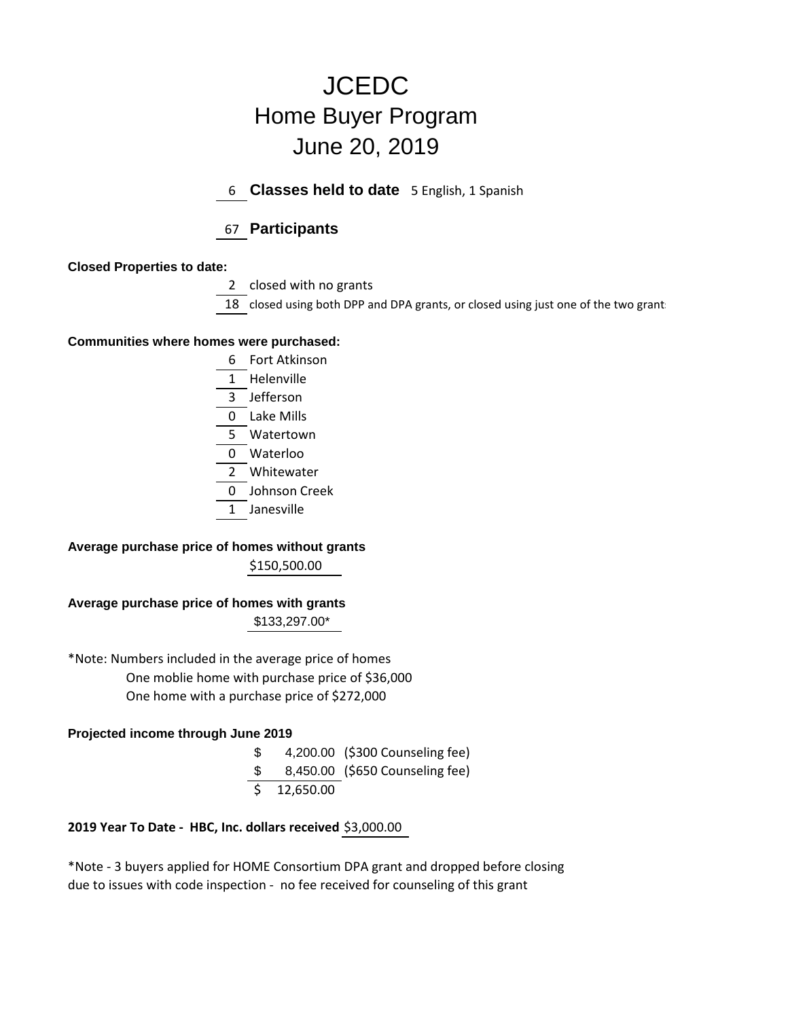# **JCEDC** Home Buyer Program June 20, 2019

6 **Classes held to date** 5 English, 1 Spanish

# 67 **Participants**

### **Closed Properties to date:**

2 closed with no grants

18 closed using both DPP and DPA grants, or closed using just one of the two grant:

### **Communities where homes were purchased:**

- 6 Fort Atkinson 1 Helenville 3 Jefferson 0 Lake Mills 5 Watertown 0 Waterloo 2 Whitewater 0 Johnson Creek
- 1 Janesville

# **Average purchase price of homes without grants**

\$150,500.00

# **Average purchase price of homes with grants**

\$133,297.00\*

 One moblie home with purchase price of \$36,000 One home with a purchase price of \$272,000 \*Note: Numbers included in the average price of homes

### **Projected income through June 2019**

\$ 4,200.00 (\$300 Counseling fee)

- \$ 8,450.00 (\$650 Counseling fee)
- \$ 12,650.00

### **2019 Year To Date - HBC, Inc. dollars received** \$3,000.00

\*Note - 3 buyers applied for HOME Consortium DPA grant and dropped before closing due to issues with code inspection - no fee received for counseling of this grant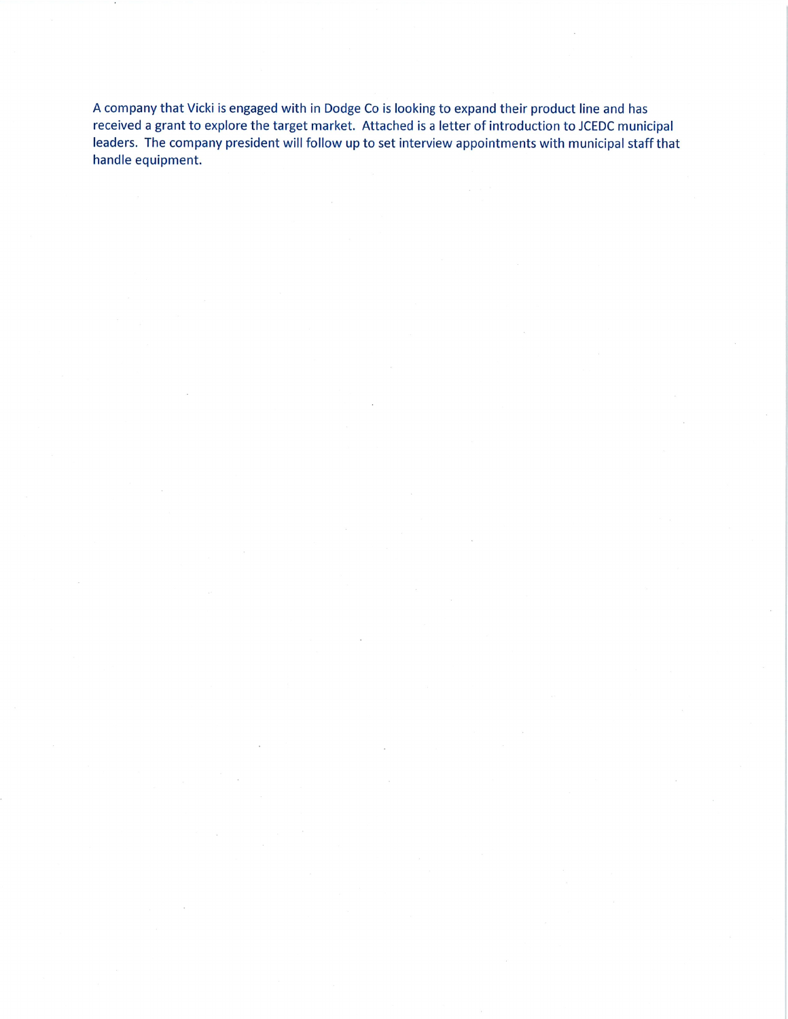A company that Vicki is engaged with in Dodge Co is looking to expand their product line and has received a grant to explore the target market. Attached is a letter of introduction to JCEDC municipal leaders. The company president will follow up to set interview appointments with municipal staff that handle equipment.